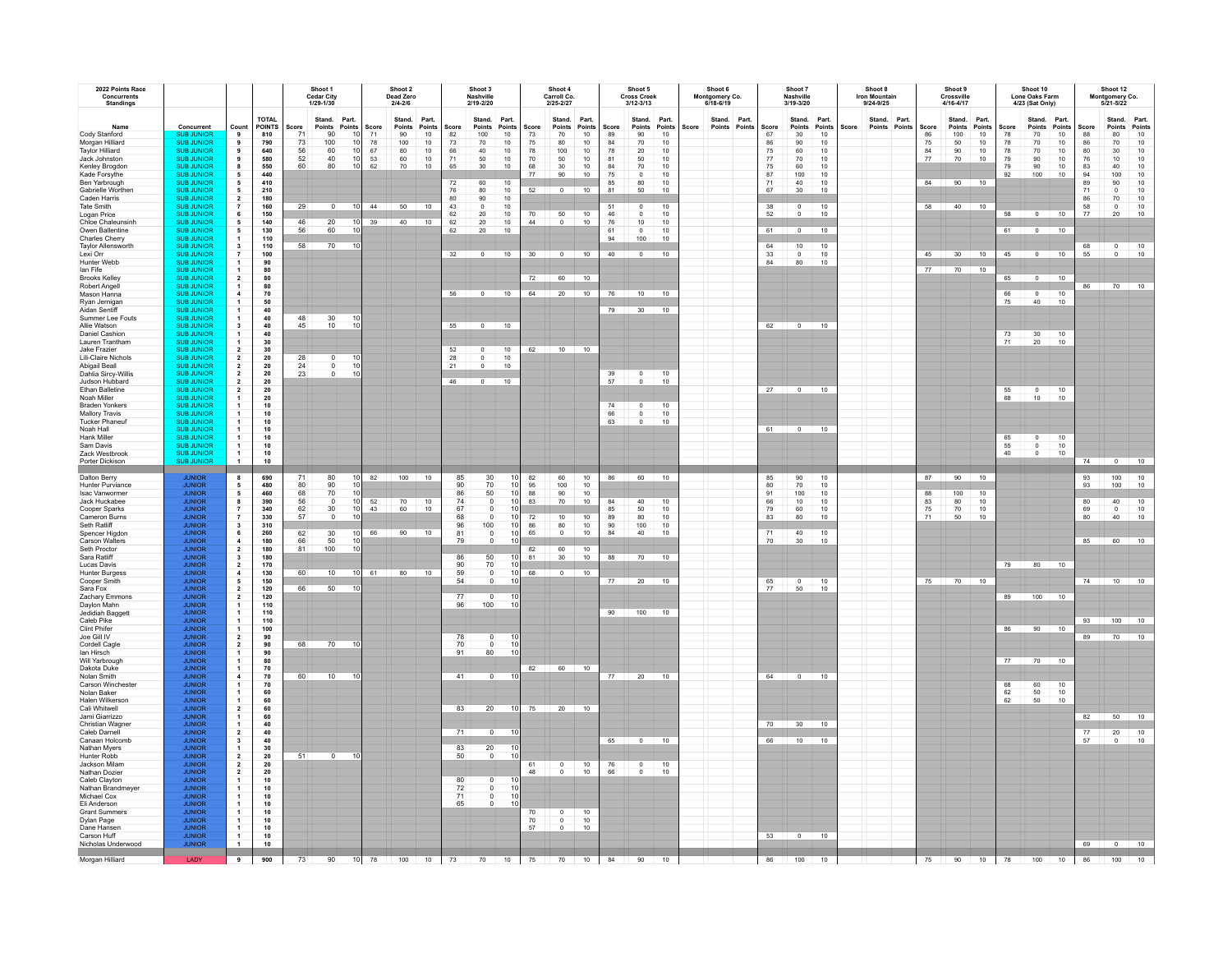| 2022 Points Race<br><b>Concurrents</b><br><b>Standings</b>                                                                                                                       |                                                                                                                                                                                                        |                                                                                                        |                                                                                              |                                                    | Shoot 1<br><b>Cedar City</b><br>1/29-1/30                                                  |                                               |                                     | Shoot 2<br>Dead Zero<br>$2/4 - 2/6$             |                                                                                       |                                                           | Shoot 3<br>Nashville<br>2/19-2/20                                                                         |                                                                                                                  |                                                              | Shoot 4<br>Carroll Co.<br>2/25-2/27                                                                                          |                                                                                            |                                                       | Shoot 5<br><b>Cross Creek</b><br>3/12-3/13                                                                                    |                                                                               |       | Shoot 6<br>Montgomery Co.<br>6/18-6/19 |        |                                                                   | Shoot 7<br>Nashville<br>3/19-3/20                                 |                                                                                            |       | Shoot 8<br><b>Iron Mountain</b><br>9/24-9/25 |                        |                                    | Shoot 9<br>Crossville<br>4/16-4/17                        |                                         |                                           | Shoot 10<br>Lone Oaks Farm<br>4/23 (Sat Only)               |                                                                               |                                                             | Shoot 12<br>Montgomery Co.<br>5/21-5/22                                     |                                                                                                                              |
|----------------------------------------------------------------------------------------------------------------------------------------------------------------------------------|--------------------------------------------------------------------------------------------------------------------------------------------------------------------------------------------------------|--------------------------------------------------------------------------------------------------------|----------------------------------------------------------------------------------------------|----------------------------------------------------|--------------------------------------------------------------------------------------------|-----------------------------------------------|-------------------------------------|-------------------------------------------------|---------------------------------------------------------------------------------------|-----------------------------------------------------------|-----------------------------------------------------------------------------------------------------------|------------------------------------------------------------------------------------------------------------------|--------------------------------------------------------------|------------------------------------------------------------------------------------------------------------------------------|--------------------------------------------------------------------------------------------|-------------------------------------------------------|-------------------------------------------------------------------------------------------------------------------------------|-------------------------------------------------------------------------------|-------|----------------------------------------|--------|-------------------------------------------------------------------|-------------------------------------------------------------------|--------------------------------------------------------------------------------------------|-------|----------------------------------------------|------------------------|------------------------------------|-----------------------------------------------------------|-----------------------------------------|-------------------------------------------|-------------------------------------------------------------|-------------------------------------------------------------------------------|-------------------------------------------------------------|-----------------------------------------------------------------------------|------------------------------------------------------------------------------------------------------------------------------|
| Name<br>Cody Stanford<br>Morgan Hilliard<br>Taylor Hilliard<br>Jack Johnston<br>Kenley Brogdon<br>Kade Forsythe<br>Ben Yarbrough<br>Gabrielle Worther<br>Caden Harris            | Concurrent<br><b>SUB JUNIO</b><br><b>SUB JUNIOR</b><br><b>SUB JUNIOR</b><br><b>SUB JUNIOR</b><br><b>SUB JUNIOR</b><br><b>SUB JUNIOR</b><br><b>SUB JUNIOR</b><br><b>SUB JUNIOR</b><br><b>SUB JUNIOR</b> | Count<br>9<br>$\overline{9}$<br>$\mathbf{g}$<br>5<br>$\overline{2}$                                    | <b>TOTAL</b><br><b>POINTS</b><br>810<br>790<br>640<br>580<br>550<br>440<br>410<br>210<br>180 | Score<br>73<br>56<br>52<br>60                      | Stand.<br>Points<br>90<br>100<br>60<br>40<br>80                                            | Part.<br>Points<br>10<br>10<br>10<br>10<br>10 | Score<br>71<br>78<br>67<br>53<br>62 | Stand.<br>Points<br>90<br>100<br>80<br>60<br>70 | Part.<br>Points<br>$10$<br>$\begin{array}{c} 10 \\ 10 \end{array}$<br>$\frac{10}{10}$ | Score<br>82<br>73<br>66<br>71<br>65<br>72<br>76<br>80     | Stand.<br>Points<br>100<br>70<br>40<br>$\frac{50}{30}$<br>60<br>80<br>90                                  | Part.<br>Points<br>10<br>10<br>$10$<br>$\frac{10}{10}$<br>10<br>$\frac{10}{10}$                                  | Score<br>73<br>75<br>78<br>70<br>68<br>77<br>52              | Stand.<br>Points<br>70<br>80<br>100<br>$50\,$<br>$30\,$<br>90<br>$\Omega$                                                    | Part.<br>Points<br>10<br>10<br>10<br>10<br>$10$<br>10<br>10                                | Score<br>89<br>84<br>78<br>81<br>84<br>75<br>85<br>81 | Points<br>90<br>70<br>20<br>$50\,$<br>70<br>$\overline{0}$<br>$\begin{array}{c} 80 \\ 50 \end{array}$                         | Stand. Part.<br>Points<br>10<br>10<br>10<br>10<br>$\frac{10}{10}$<br>10<br>10 | Score | Stand. Part.<br>Points                 | Points | Score<br>67<br>86<br>75<br>$77\,$<br>${\bf 75}$<br>87<br>71<br>67 | Stand.<br>Points<br>30<br>90<br>60<br>70<br>60<br>100<br>40<br>30 | Part.<br>Points<br>10<br>10<br>$10$<br>$\begin{array}{c} 10 \\ 10 \end{array}$<br>10<br>10 | Score | Points                                       | Stand. Part.<br>Points | Score<br>86<br>75<br>84<br>$77\,$  | Stand.<br>Points<br>100<br>50<br>90<br>$70\,$<br>84 90 10 | Part.<br>Points<br>10<br>10<br>10<br>10 | Score<br>78<br>78<br>78<br>79<br>79<br>92 | Stand. Part.<br>Points<br>70<br>70<br>70<br>90<br>90<br>100 | Points<br>$10$<br>$10$<br>10<br>10<br>$\begin{array}{c} 10 \\ 10 \end{array}$ | Score<br>88<br>86<br>80<br>76<br>83<br>94<br>89<br>71<br>86 | Stand. Part.<br>Points<br>80<br>$70\,$<br>30<br>10<br>40<br>100<br>90<br>70 | Points<br>10<br>$\begin{array}{c} 10 \\ 10 \end{array}$<br>$\begin{array}{c}\n10 \\ 10 \\ 10 \\ 10 \\ 10 \\ 10\n\end{array}$ |
| <b>Tate Smith</b><br>Logan Price<br>Chloe Chaleunsinh<br>Owen Ballentine<br>Charles Cherry<br>Taylor Allensworth<br>Lexi Orr                                                     | <b>SUB JUNIOR</b><br><b>SUB JUNIOR</b><br><b>SUB JUNIOR</b><br><b>SUB JUNIOR</b><br><b>SUB JUNIOR</b><br><b>SUB JUNIOR</b><br><b>SUB JUNIOR</b>                                                        | $\overline{7}$<br>6<br>5<br>$\overline{\mathbf{3}}$                                                    | 160<br>150<br>140<br>130<br>110<br>110<br>100                                                | 29<br>46<br>56<br>58                               | $\Omega$<br>20<br>60<br>70                                                                 | 10 <sup>1</sup><br>10<br>10                   | $10 \mid 44$<br>39                  | 50<br>$40$ 10                                   | 10                                                                                    | 43<br>$\begin{array}{c} 62 \\ 62 \end{array}$<br>62<br>32 | $\overline{0}$<br>$\frac{20}{20}$<br>20                                                                   | $10\,$<br>$\frac{10}{10}$                                                                                        | $70\,$<br>44<br>30                                           | $\frac{50}{0}$<br>$\begin{array}{ c c c c c c c c c } \hline \multicolumn{1}{ c }{0} & \multicolumn{1}{ c }{10} \end{array}$ | $\frac{10}{10}$                                                                            | 51<br>$\sqrt{46}$<br>${\bf 76}$<br>61<br>94<br>40     | $^{\circ}$<br>$\begin{array}{c} 0 \\ 10 \end{array}$<br>$\,$ 0<br>100                                                         | 10<br>$10\,$<br>10<br>$10\,$<br>10<br>$0$ 10                                  |       |                                        |        | 38<br>52<br>61<br>64<br>$33\,$                                    | $\overline{0}$<br>$\Omega$<br>10 <sub>1</sub><br>$\mathbf 0$      | 10<br>10<br>$0 \t 10$<br>10<br>$10$                                                        |       |                                              |                        |                                    | 58 40 10<br>45 30 10                                      |                                         | 58<br>61<br>45                            |                                                             | $0 \quad 10$<br>$0 \t 10$                                                     | 58<br>77<br>55                                              | $^{\circ}$<br>20<br>$\frac{0}{0}$                                           | $\frac{10}{10}$<br>10                                                                                                        |
| Hunter Webb<br>lan Fife<br><b>Brooks Kelley</b><br>Robert Angel<br>Mason Hanna<br>Rvan Jernigar<br>Aidan Sentiff                                                                 | <b>SUB JUNIOR</b><br><b>SUB JUNIOR</b><br><b>SUB JUNIOR</b><br><b>SUB JUNIOR</b><br><b>SUB JUNIOR</b><br><b>SUB JUNIOR</b><br><b>SUB JUNIOR</b>                                                        | $\overline{2}$                                                                                         | 90<br>80<br>80<br>80<br>70<br>50                                                             |                                                    |                                                                                            |                                               |                                     |                                                 |                                                                                       | 56                                                        | $\overline{\phantom{0}}$                                                                                  | 10                                                                                                               | 72<br>64                                                     | 60<br>20                                                                                                                     | 10<br>10                                                                                   | 76<br>79                                              | 10<br>30                                                                                                                      | $\overline{10}$<br>10                                                         |       |                                        |        |                                                                   | 80                                                                |                                                                                            |       |                                              |                        | 77                                 | 70                                                        | 10                                      | 65<br>66<br>75                            | $\overline{0}$<br>$\overline{0}$<br>40                      | 10<br>10<br>10                                                                | 86                                                          | 70 10                                                                       |                                                                                                                              |
| Summer Lee Fouts<br>Allie Watson<br><b>Daniel Cashion</b><br>Lauren Tranthan<br>Jake Frazier<br>Lili-Claire Nichols                                                              | <b>SUB JUNIOR</b><br><b>SUB JUNIOR</b><br><b>SUB JUNIOR</b><br><b>SUB JUNIOR</b><br><b>SUB JUNIOR</b><br><b>SUB JUNIOR</b>                                                                             | $\mathbf{1}$<br>$\mathbf{3}$<br>$\overline{\mathbf{z}}$<br>$\overline{2}$                              | $\frac{40}{40}$<br>$\begin{array}{c} 40 \\ 40 \end{array}$<br>30<br>$\frac{30}{20}$          | 48<br>45<br>28                                     | $\frac{30}{10}$<br>$\begin{smallmatrix}0\\0\end{smallmatrix}$                              | 10<br>$\frac{10}{10}$                         |                                     |                                                 |                                                                                       | 52<br>28<br>21                                            | $55 \t 0 \t 10$<br>$\begin{array}{c} 0 \\ 0 \end{array}$                                                  | $\frac{10}{10}$<br>10                                                                                            |                                                              | 62 10 10                                                                                                                     |                                                                                            |                                                       |                                                                                                                               |                                                                               |       |                                        |        |                                                                   | $62 \t 0$                                                         | 10                                                                                         |       |                                              |                        |                                    |                                                           |                                         | 73<br>71                                  | $\frac{30}{20}$                                             | 10<br>10                                                                      |                                                             |                                                                             |                                                                                                                              |
| Abigail Beall<br>Dahlia Sircy-Willis<br>Judson Hubbard<br>Ethan Balletine<br>Noah Miller<br><b>Braden Yonkers</b><br><b>Mallory Travis</b>                                       | <b>SUB JUNIOR</b><br><b>SUB JUNIOR</b><br><b>SUB JUNIOR</b><br><b>SUB JUNIOR</b><br><b>SUB JUNIOR</b><br><b>SUB JUNIOR</b><br><b>SUB JUNIOR</b>                                                        | $\overline{\mathbf{2}}$<br>$\overline{2}$<br>$\overline{2}$                                            | ${\bf 20}$<br>${\bf 20}$<br>${\bf 20}$<br>${\bf 20}$<br>20<br>$10$<br>10                     | 24<br>23                                           | $\circ$                                                                                    | 10                                            |                                     |                                                 |                                                                                       | 46                                                        | $\circ$<br>$0 \t 10$                                                                                      |                                                                                                                  |                                                              |                                                                                                                              |                                                                                            | $\frac{39}{57}$<br>66                                 | $\frac{0}{0}$<br>$\,$ 0 $\,$                                                                                                  | $\frac{10}{10}$<br>10<br>10                                                   |       |                                        |        |                                                                   | $27$ 0 10                                                         |                                                                                            |       |                                              |                        |                                    |                                                           |                                         | 55                                        | $\circ$<br>10 <sub>10</sub>                                 | $10$<br>10                                                                    |                                                             |                                                                             |                                                                                                                              |
| <b>Tucker Phaneuf</b><br>Noah Hall<br><b>Hank Miller</b><br>Sam Davis<br>Zack Westbrook<br>Porter Dickison                                                                       | <b>SUB JUNIOR</b><br><b>SUB JUNIOR</b><br><b>SUB JUNIOR</b><br><b>SUB JUNIOR</b><br>SUB JUNIOR                                                                                                         | 1.<br>$\mathbf{1}$<br>$\mathbf{1}$<br>$\mathbf{1}$<br>$\overline{1}$                                   | 10<br>10<br>10<br>$\begin{array}{c} 10 \\ 10 \\ 10 \end{array}$<br>10                        |                                                    |                                                                                            |                                               |                                     |                                                 |                                                                                       |                                                           |                                                                                                           |                                                                                                                  |                                                              |                                                                                                                              |                                                                                            | 63                                                    | $\overline{0}$                                                                                                                | 10                                                                            |       |                                        |        | 61                                                                | $\overline{\phantom{0}}$                                          | 10                                                                                         |       |                                              |                        |                                    |                                                           |                                         | 65<br>$\frac{55}{40}$                     | $\begin{matrix} 0 \\ 0 \\ 0 \end{matrix}$                   | $\frac{10}{10}$                                                               | 74                                                          | $0 \t 10$                                                                   |                                                                                                                              |
| Dalton Berry<br><b>Hunter Purviance</b><br>Isac Vanwormer<br>Jack Huckabee<br>Cooper Sparks<br>Cameron Burns<br>Seth Ratliff<br>Spencer Higdon<br>Carson Walters<br>Seth Proctor | <b>JUNIOR</b><br><b>JUNIOR</b><br><b>JUNIOR</b><br><b>JUNIOR</b><br><b>JUNIOR</b><br><b>JUNIOR</b><br><b>JUNIOR</b><br><b>JUNIOR</b><br><b>JUNIOR</b>                                                  | 8<br>5<br>5<br>8<br>$\overline{2}$                                                                     | 690<br>480<br>460<br>390<br>340<br>330<br>310<br>260<br>180<br>180                           | 71<br>80<br>68<br>56<br>62<br>57<br>62<br>66<br>81 | 80<br>90<br>$\mathop{70}_0$<br>30 <sub>2</sub><br>$\Omega$<br>30 <sup>°</sup><br>50<br>100 | 10<br>10<br>10<br>10<br>10<br>10<br>10<br>10  | 10 82<br>52<br>43<br>66             | $100$ 10<br>70<br>60<br>90                      | 10<br>10<br>10                                                                        | 85<br>90<br>$\frac{86}{74}$<br>67<br>68<br>96<br>81<br>79 | 30<br>70<br>$^{50}_{\hphantom{0}0}$<br>$\mathbb O$<br>$\overline{0}$<br>100<br>$\mathbb O$<br>$\mathbb O$ | $\begin{array}{c} 10 \\ 10 \end{array}$<br>$\begin{array}{c} 10 \\ 10 \end{array}$<br>10<br>10<br>10<br>10<br>10 | 82<br>95<br>88<br>83<br>$\scriptstyle{72}$<br>86<br>65<br>82 | 60<br>100<br>90<br>70<br>10<br>$80\,$<br>$\Omega$<br>60                                                                      | $\frac{10}{10}$<br>$\begin{array}{c} 10 \\ 10 \end{array}$<br>$10\,$<br>$10\,$<br>10<br>10 | 86<br>84<br>85<br>89<br>90<br>84                      | 60 10<br>40<br>$50\,$<br>80<br>100<br>40                                                                                      | 10<br>$10$<br>$10$<br>$10$<br>10                                              |       |                                        |        | 85<br>80<br>91<br>66<br>79<br>83<br>71<br>70                      | 90<br>70<br>100<br>10<br>60<br>80<br>40<br>30                     | 10<br>10<br>$10$<br>$10$<br>$10$<br>10<br>10<br>10                                         |       |                                              |                        | 87<br>88<br>83<br>${\bf 75}$<br>71 | 90<br>100<br>80<br>70<br>50                               | 10<br>$\frac{10}{10}$<br>$10$<br>10     |                                           |                                                             |                                                                               | 93<br>Q <sub>3</sub><br>80<br>69<br>80<br>85                | 100<br>100<br>$40\,$<br>$\,$ 0 $\,$<br>40<br>60                             | $\begin{array}{c}\n10 \\ 10\n\end{array}$<br>10<br>$10$<br>10<br>$\overline{10}$                                             |
| Sara Ratliff<br>Lucas Davis<br><b>Hunter Burgess</b><br>Cooper Smith<br>Sara Fox<br>Zachary Emmons<br>Davlon Mahn<br>Jedidiah Bagget                                             | JUNIOR<br>JUNIOR<br>JUNIOR<br><b>JUNIOR</b><br><b>JUNIOR</b><br><b>JUNIOR</b><br>JUNIOR<br>JUNIOR<br>JUNIOR<br>JUNIOR                                                                                  | $\mathbf{3}$<br>$\overline{2}$<br>5<br>$\overline{2}$<br>$\overline{2}$                                | 180<br>170<br>130<br>150<br>120<br>120<br>110<br>110                                         | 60<br>66                                           | 10<br>50                                                                                   | 10                                            | $10$ 61                             | 80                                              | 10                                                                                    | 86<br>90<br>59<br>54<br>77<br>96                          | 50<br>$^{70}_{\qquad0}$<br>$\Omega$<br>$\overline{0}$<br>100                                              | 10<br>10 <sup>1</sup><br>10<br>10<br>10<br>10                                                                    | 81<br>68                                                     | 30<br>$\overline{0}$                                                                                                         | $10$<br>10                                                                                 | 88                                                    | 70<br>77 20 10<br>90 100 10                                                                                                   | $\overline{10}$                                                               |       |                                        |        | 65<br>77                                                          | $\overline{0}$<br>50                                              | 10<br>10                                                                                   |       |                                              |                        |                                    | 75 70 10                                                  |                                         |                                           | 79 80 10<br>89 100 10                                       |                                                                               | 74                                                          | $10 \t 10$                                                                  |                                                                                                                              |
| Caleb Pike<br>Clint Phifer<br>Joe Gill IV<br>Cordell Cagle<br>lan Hirsch<br>Will Yarbrough<br>Dakota Duke                                                                        | <b>JUNIOR</b><br><b>JUNIOR</b><br><b>JUNIOR</b>                                                                                                                                                        | $\overline{2}$                                                                                         | 110<br>100<br>90<br>90<br>$90\,$<br>80<br>70                                                 | 68                                                 | 70                                                                                         | $-10$                                         |                                     |                                                 |                                                                                       | 78<br>70<br>91                                            | $\begin{smallmatrix} 0\\0 \end{smallmatrix}$<br>80                                                        | 10<br>10<br>10                                                                                                   | 82                                                           | 60 10                                                                                                                        |                                                                                            |                                                       |                                                                                                                               |                                                                               |       |                                        |        |                                                                   |                                                                   |                                                                                            |       |                                              |                        |                                    |                                                           |                                         | 77                                        | 86 90 10<br>70 10                                           |                                                                               | 93<br>89                                                    | 100 10<br>70 10                                                             |                                                                                                                              |
| Nolan Smith<br>Carson Winchester<br>Nolan Baker<br>Halen Wilkerson<br>Cali Whitwell<br>Jami Giarrizzo<br>Christian Wagner                                                        | <b>JUNIOR</b><br><b>JUNIOR</b><br><b>JUNIOR</b><br><b>JUNIOR</b><br><b>JUNIOR</b>                                                                                                                      | $\mathbf{1}$<br>$\overline{2}$<br>$\overline{1}$                                                       | 70<br>70<br>60<br>60<br>60<br>$60$<br>$40$<br>$40$                                           | 60                                                 | 10 <sup>1</sup>                                                                            | 10                                            |                                     |                                                 |                                                                                       | 41<br>83                                                  | $\overline{0}$<br>20                                                                                      | 10                                                                                                               |                                                              | $10 \overline{\smash{\big)}\ 75}$ 20                                                                                         | $\overline{10}$                                                                            | 77                                                    | $20 \t 10$                                                                                                                    |                                                                               |       |                                        |        | 64<br>70                                                          | $\overline{0}$                                                    | 10<br>30 10                                                                                |       |                                              |                        |                                    |                                                           |                                         | 68<br>62<br>62                            | 60<br>50<br>50                                              | 10<br>$10$<br>10                                                              | 82                                                          | 50 10                                                                       |                                                                                                                              |
| Caleb Darnell<br>Canaan Holcomb<br>Nathan Myers<br>Hunter Robb<br>Jackson Milam<br>Nathan Dozier<br>Caleb Clayton<br>Nathan Brandmeyer                                           | <b>JUNIOR</b><br><b>JUNIOR</b><br>JUNIOR<br>JUNIOR<br>JUNIOR<br>JUNIOR<br><b>JUNIOR</b><br><b>JUNIOR</b>                                                                                               | $\overline{2}$<br>$\overline{\mathbf{3}}$<br>$\mathbf{1}$<br>$\overline{\mathbf{2}}$<br>$\overline{2}$ | 40<br>$\frac{30}{20}$<br>${\bf 20}$<br>${\bf 20}$<br>10<br>$10$                              | 51                                                 | $\bullet$                                                                                  | 10                                            |                                     |                                                 |                                                                                       | 71<br>83<br>50<br>80<br>$\bf 72$                          | $\overline{\mathbf{0}}$<br>$20\degree$<br>$\mathbf 0$<br>$\begin{smallmatrix} 0\\ 0 \end{smallmatrix}$    | 10<br>10<br>10<br>10                                                                                             | 61<br>$\overline{AB}$                                        | $\overline{\phantom{0}}$<br>$\Omega$                                                                                         | $\begin{array}{c} 10 \\ 10 \end{array}$                                                    | 65<br>$\frac{76}{66}$                                 | $\begin{array}{ c c c c c } \hline \multicolumn{1}{ c }{0} & \multicolumn{1}{ c }{10} \\\hline \end{array}$<br>$\overline{0}$ | 10                                                                            |       |                                        |        | 66                                                                | 10                                                                | $\overline{10}$                                                                            |       |                                              |                        |                                    |                                                           |                                         |                                           |                                                             |                                                                               | 77<br>57                                                    | $\frac{20}{0}$                                                              | $\frac{10}{10}$                                                                                                              |
| Michael Cox<br>Eli Anderson<br><b>Grant Summers</b><br>Dylan Page<br>Dane Hansen<br>Carson Huff<br>Nicholas Underwood                                                            | <b>JUNIOR</b><br><b>JUNIOR</b><br><b>JUNIOR</b><br><b>JUNIOR</b><br><b>JUNIOR</b><br><b>JUNIOR</b>                                                                                                     | $\mathbf{1}$<br>$\overline{1}$<br>$\overline{1}$                                                       | $10\,$<br>$10\,$<br>10<br>10<br>10<br>$10$<br>10                                             |                                                    |                                                                                            |                                               |                                     |                                                 |                                                                                       | 71<br>65                                                  | $\mathbf 0$                                                                                               | 10                                                                                                               | 70<br>$\frac{70}{57}$                                        | $^{\circ}$<br>$\begin{smallmatrix}0\\0\\0\end{smallmatrix}$                                                                  | $10\,$<br>$\frac{10}{10}$                                                                  |                                                       |                                                                                                                               |                                                                               |       |                                        |        |                                                                   | $53$ 0                                                            | 10                                                                                         |       |                                              |                        |                                    |                                                           |                                         |                                           |                                                             |                                                                               | 69                                                          | $0 \t 10$                                                                   |                                                                                                                              |
| Morgan Hilliard                                                                                                                                                                  | LADY                                                                                                                                                                                                   | $\overline{\cdot}$                                                                                     | 900                                                                                          | 73                                                 |                                                                                            |                                               |                                     |                                                 |                                                                                       |                                                           |                                                                                                           |                                                                                                                  |                                                              | 90 10 78 100 10 73 70 10 75 70 10 84 90                                                                                      |                                                                                            |                                                       |                                                                                                                               | 10                                                                            |       |                                        |        |                                                                   | 86 100 10                                                         |                                                                                            |       |                                              |                        |                                    |                                                           |                                         | 75 90 10 78                               |                                                             | $100$ $10$                                                                    | 86                                                          | $100 - 10$                                                                  |                                                                                                                              |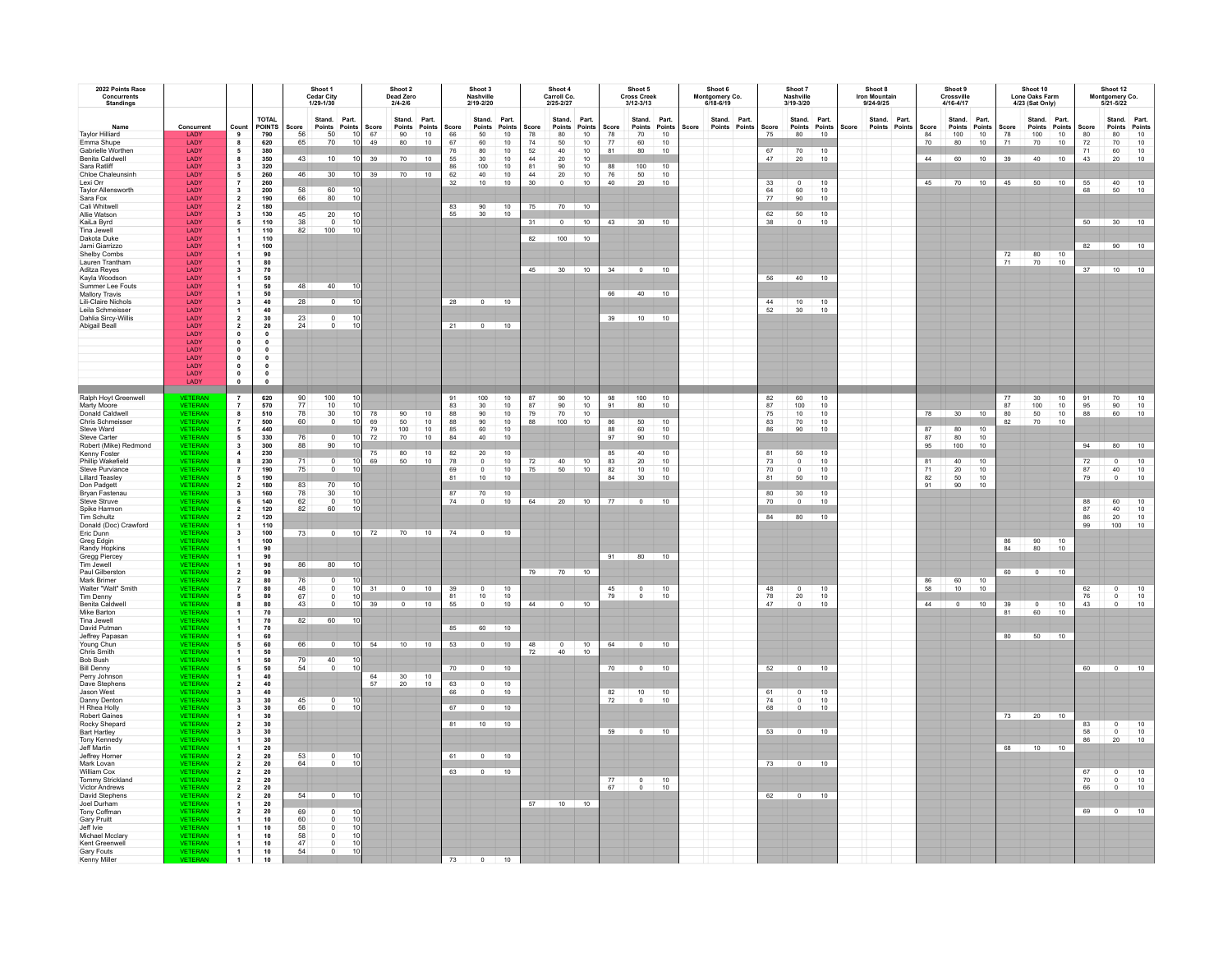| 2022 Points Race<br>Concurrents<br><b>Standings</b>                                                                                      |                                                                                                                                       |                                                                                                                                                                                |                                                                                                                                                    |                             | Shoot 1<br><b>Cedar City</b><br>1/29-1/30                      |                                                      |                               | Shoot 2<br>Dead Zero<br>$2/4 - 2/6$      |                                             |                                           | Shoot 3<br>Nashville<br>2/19-2/20                                    |                                                                    |                                                       | Shoot 4<br>Carroll Co.<br>2/25-2/27                                                                      |                                                                                        |                                                 | Shoot 5<br><b>Cross Creek</b><br>$3/12 - 3/13$                      |                                                               |       | Shoot 6<br>Montgomery Co.<br>6/18-6/19 |                                        | Shoot 7<br>Nashville<br>3/19-3/20                                                                 |                                          |       | Shoot 8<br><b>Iron Mountain</b><br>9/24-9/25 |                        |                            | Shoot 9<br>Crossville<br>$4/16 - 4/17$                              |                                                             |                         | Shoot 10<br>Lone Oaks Farm<br>4/23 (Sat Only) |                             |                                               | Shoot 12<br>Montgomery Co.<br>5/21-5/22                 |                                                                 |
|------------------------------------------------------------------------------------------------------------------------------------------|---------------------------------------------------------------------------------------------------------------------------------------|--------------------------------------------------------------------------------------------------------------------------------------------------------------------------------|----------------------------------------------------------------------------------------------------------------------------------------------------|-----------------------------|----------------------------------------------------------------|------------------------------------------------------|-------------------------------|------------------------------------------|---------------------------------------------|-------------------------------------------|----------------------------------------------------------------------|--------------------------------------------------------------------|-------------------------------------------------------|----------------------------------------------------------------------------------------------------------|----------------------------------------------------------------------------------------|-------------------------------------------------|---------------------------------------------------------------------|---------------------------------------------------------------|-------|----------------------------------------|----------------------------------------|---------------------------------------------------------------------------------------------------|------------------------------------------|-------|----------------------------------------------|------------------------|----------------------------|---------------------------------------------------------------------|-------------------------------------------------------------|-------------------------|-----------------------------------------------|-----------------------------|-----------------------------------------------|---------------------------------------------------------|-----------------------------------------------------------------|
| Name<br><b>Taylor Hilliard</b><br>Emma Shupe<br>Gabrielle Worthen<br>Benita Caldwell<br>Sara Ratliff<br>Chloe Chaleunsinh                | Concurrent<br>LADY<br>LADY<br>LADY<br>LADY<br>LADY<br>LADY                                                                            | Count<br>9<br>8<br>$5\overline{5}$<br>$\bf{8}$<br>$\mathbf{3}$<br>$\sqrt{5}$                                                                                                   | <b>TOTAL</b><br><b>POINTS</b><br>790<br>620<br>380<br>350<br>320<br>260                                                                            | Score<br>65<br>43<br>46     | Stand.<br>Points<br>50<br>70<br>10<br>30 <sup>7</sup>          | Part.<br>Points<br>10<br>10<br>10<br>$\overline{10}$ | Score<br>67<br>49<br>39<br>39 | Stand.<br>Points<br>90<br>80<br>70<br>70 | Part.<br>Points<br>$10\,$<br>10<br>10<br>10 | Score<br>66<br>67<br>76<br>55<br>86<br>62 | Stand.<br>Points<br>$50\,$<br>60<br>80<br>$30\,$<br>100<br>40        | Part.<br>Points<br>$10$<br>$10$<br>10<br>$10\,$<br>$\frac{10}{10}$ | Score<br>${\bf 78}$<br>74<br>52<br>$44\,$<br>81<br>44 | Stand.<br>Points<br>$_{80}$<br>$\begin{array}{c} 50 \\ 40 \end{array}$<br>$20\degree$<br>$\frac{90}{20}$ | Part.<br>Points<br>$10$<br>$10$<br>10<br>10<br>$\begin{array}{c} 10 \\ 10 \end{array}$ | Score<br>${\bf 78}$<br>$77\,$<br>81<br>88<br>76 | Stand.<br>Points<br>70<br>$\frac{60}{80}$<br>100                    | Part.<br>Points<br>$10$<br>$\frac{10}{10}$<br>$\frac{10}{10}$ | Score | Stand. Part.<br>Points Points          | Score<br>75<br>67<br>47                | Stand. Part.<br>Points<br>80<br>70<br>20                                                          | Points<br>10<br>10<br>10                 | Score | Points                                       | Stand. Part.<br>Points | Score<br>84<br>70<br>44    | Points<br>$100\,$<br>80<br>60                                       | Stand. Part.<br>Points<br>$10\,$<br>10<br>10                | Score<br>78<br>71<br>39 | Stand. Part.<br>Points<br>$100$<br>70<br>40   | Points<br>$10$<br>10<br>10  | Score<br>80<br>$\scriptstyle{72}$<br>71<br>43 | Stand. Part.<br>Points<br>80<br>70<br>60<br>$20\,$      | Points<br>$10$<br>$\begin{array}{c} 10 \\ 10 \end{array}$<br>10 |
| Lexi Orr<br><b>Taylor Allensworth</b><br>Sara Fox<br>Cali Whitwel<br>Allie Watson<br>KaiLa Byrd<br>Tina Jewell                           | LADY<br>LADY<br>LADY<br>LADY<br>LADY<br>LADY<br>LADY                                                                                  | $\overline{7}$<br>$\mathbf{3}$<br>$\overline{2}$<br>$\overline{2}$<br>$\mathbf{3}$<br>5                                                                                        | 260<br>200<br>190<br>180<br>130<br>110<br>110                                                                                                      | 58<br>66<br>45<br>38<br>82  | $\frac{60}{80}$<br>20<br>$\Omega$<br>100                       | 10<br>10<br>10<br>10<br>10                           |                               |                                          |                                             | 32<br>83<br>55.                           | 10<br>90<br>30 <sup>°</sup>                                          | 10<br>10 <sup>1</sup>                                              | 30<br>75                                              | $\mathbf 0$<br>$70$ 10<br>$31 \t 0 \t 10$                                                                | 10                                                                                     | 40                                              | $\frac{50}{20}$<br>43 30 10                                         | 10                                                            |       |                                        | 33<br>$rac{64}{77}$<br>$\frac{62}{38}$ | $\begin{array}{c} 0 \\ 60 \\ 90 \end{array}$<br>$\frac{50}{0}$                                    | 10<br>$\frac{10}{10}$<br>$\frac{10}{10}$ |       |                                              |                        | 45                         |                                                                     | 70 10                                                       |                         | 45 50 10                                      |                             | 55<br>68                                      | $\frac{40}{50}$<br>50 30 10                             | 10<br>10                                                        |
| Dakota Duke<br>Jami Giarrizzo<br>Shelby Combs<br>Lauren Trantham<br>Aditza Reyes<br>Kayla Woodson<br>Summer Lee Fouts                    | LADY<br>LADY<br>LADY<br>LADY<br>LADY<br>LADY<br>LADY<br>LADY                                                                          | $\mathbf{1}$<br>$\mathbf 3$<br>$\mathbf{1}$                                                                                                                                    | 110<br>100<br>90<br>80<br>70<br>50<br>50<br>50                                                                                                     | 48                          | 40                                                             | 10                                                   |                               |                                          |                                             |                                           |                                                                      |                                                                    | 82                                                    | 100<br>45 30 10                                                                                          | 10                                                                                     | 34                                              | $\begin{array}{ c c c c c }\n\hline\n0 & 10 \\ \hline\n\end{array}$ |                                                               |       |                                        | 56                                     | 40 10                                                                                             |                                          |       |                                              |                        |                            |                                                                     |                                                             | 72<br>71                | 80<br>70                                      | 10<br>10                    |                                               | 82 90 10<br>37 10 10                                    |                                                                 |
| <b>Mallory Travis</b><br>Lili-Claire Nichols<br>Leila Schmeisser<br>Dahlia Sircy-Willis<br>Abigail Beall                                 | LADY<br>LADY<br>LADY<br>LADY<br>LADY<br>LADY<br>LADY<br>LADY<br>LADY<br>LADY<br><b>LADY</b>                                           | $\overline{\mathbf{3}}$<br>$\overline{2}$<br>$\frac{2}{0}$<br>$\bullet$<br>$\bullet$<br>$\overline{\phantom{a}}$<br>$\bullet$<br>$\begin{smallmatrix} 0\\ 0 \end{smallmatrix}$ | 40<br>40<br>30<br>20<br>$\overline{\mathbf{0}}$<br>$\bullet$<br>$\overline{\mathbf{0}}$<br>$\bullet$<br>$\bullet$<br>$\mathbf 0$<br>$\overline{a}$ | 28<br>23<br>24              | $\overline{0}$<br>$^{\circ}$<br>$\Omega$                       | 10<br>10<br>10                                       |                               |                                          |                                             | 28<br>21                                  | $\overline{0}$<br>$\Omega$                                           | 10<br>10                                                           |                                                       |                                                                                                          |                                                                                        | 66<br>39                                        | 40                                                                  | 10<br>$10$ $10$                                               |       |                                        | 44<br>52                               | $\frac{10}{30}$                                                                                   | 10                                       |       |                                              |                        |                            |                                                                     |                                                             |                         |                                               |                             |                                               |                                                         |                                                                 |
| Ralph Hoyt Greenwell<br>Marty Moore<br>Donald Caldwe<br>Chris Schmeisser<br>Steve Ward<br>Steve Carter                                   | <b>VETERAN</b><br><b>VETERAN</b><br><b>VETERAN</b><br><b>VETERAN</b><br><b>VETERAN</b><br><b>VETERAN</b>                              | $\bf{8}$<br>5<br>5                                                                                                                                                             | 620<br>570<br>510<br>500<br>440<br>330                                                                                                             | 90<br>77<br>78<br>60<br>76  | 100<br>10<br>30<br>$\overline{0}$<br>$\overline{\mathfrak{o}}$ | 10<br>10<br>10<br>10<br>10                           | 78<br>69<br>79<br>$72\,$      | 90<br>50<br>100<br>70                    | 10<br>$\frac{10}{10}$<br>10                 | 91<br>83<br>88<br>88<br>85<br>84          | 100<br>$30\,$<br>90<br>$\begin{array}{c} 90 \\ 60 \end{array}$<br>40 | $10\,$<br>$10$<br>$10$<br>$\frac{10}{10}$<br>$10$                  | 87<br>87<br>79<br>88                                  | 90<br>90<br>70<br>100                                                                                    | 10<br>$10\,$<br>$10$<br>10                                                             | $\frac{98}{91}$<br>86<br>88<br>97               | 100<br>80<br>50<br>60<br>90                                         | 10<br>10<br>10<br>10<br>10                                    |       |                                        | 82<br>87<br>75<br>83<br>86             | 60<br>100<br>10<br>70<br>90                                                                       | $10\,$<br>10<br>10<br>$10$<br>10         |       |                                              |                        | 78<br>87<br>87             | 30<br>80<br>80                                                      | 10<br>10<br>$10$                                            | 77<br>87<br>80<br>82    | $30\,$<br>100<br>50<br>70                     | 10<br>$\frac{10}{10}$<br>10 | 91<br>95<br>88                                | 70<br>90<br>60                                          | $\begin{array}{c} 10 \\ 10 \end{array}$<br>10                   |
| Robert (Mike) Redmond<br>Kenny Foster<br>Phillip Wakefield<br>Steve Purviance<br><b>Lillard Teasley</b><br>Don Padgett<br>Bryan Fastenau | <b>VETERAN</b><br><b>VETERAN</b><br><b>VETERAN</b><br><b>VETERAN</b><br><b>VETERAN</b><br>VETERAN                                     | $\mathbf{3}$<br>$\overline{4}$<br>8<br>5<br>$\overline{2}$<br>$\mathbf{3}$                                                                                                     | 300<br>230<br>230<br>190<br>190<br>180                                                                                                             | 88<br>71<br>75<br>83<br>78  | 90<br>$\circ$<br>$\Omega$<br>70<br>$30\,$                      | 10<br>10<br>10<br>10<br>10                           | 75<br>69                      | 80<br>50                                 | $\frac{10}{10}$                             | 82<br>78<br>69<br>81                      | 20<br>$\,$ 0 $\,$<br>$\circ$<br>10                                   | 10<br>$10$<br>10<br>10                                             | 72<br>75                                              | 40<br>50                                                                                                 | $\frac{10}{10}$                                                                        | 85<br>83<br>82<br>$\overline{84}$               | 40<br>20<br>$\frac{10}{30}$                                         | 10<br>10<br>$\frac{10}{10}$                                   |       |                                        | 81<br>73<br>70<br>81<br>80             | 50<br>$\circ$<br>$\Omega$<br>50                                                                   | 10<br>10<br>10<br>10                     |       |                                              |                        | 95<br>81<br>71<br>82<br>91 | 100<br>40<br>20<br>$\frac{50}{90}$                                  | 10<br>10<br>$\begin{array}{c}\n10 \\ 10 \\ 10\n\end{array}$ |                         |                                               |                             | 94<br>72<br>87<br>79                          | 80<br>$\circ$<br>$\begin{array}{c} 40 \\ 0 \end{array}$ | 10<br>$\begin{array}{c} 10 \\ 10 \\ 10 \\ 10 \end{array}$       |
| Steve Struve<br>Spike Harmon<br>Tim Schultz<br>Donald (Doc) Crawford<br>Eric Dunn<br>Greg Edgin<br>Randy Hopkins                         | <b>VETERAN</b><br>VETERAN<br><b>VETERAN</b><br><b>VETERAN</b><br>VETERAN<br><b>VETERAN</b><br><b>VETERAN</b><br><b>VETERAN</b>        | 6<br>$\overline{\mathbf{2}}$<br>$\overline{2}$                                                                                                                                 | 160<br>140<br>120<br>$120\,$<br>110<br>100<br>$\frac{100}{90}$                                                                                     | 62<br>82<br>73              | $\overline{0}$<br>60<br>$\overline{0}$                         | 10<br>10<br>10                                       |                               | 72 70 10                                 |                                             | $\frac{87}{74}$                           | $\frac{70}{0}$<br>$74$ 0 10                                          | $\frac{10}{10}$                                                    | 64                                                    | $20 \t 10$                                                                                               |                                                                                        |                                                 | $77 \qquad 0 \qquad 10$                                             |                                                               |       |                                        | 70                                     | $\frac{30}{0}$<br>84 80 10                                                                        | $\frac{10}{10}$                          |       |                                              |                        |                            |                                                                     |                                                             | $rac{86}{84}$           | $\frac{90}{80}$                               | $\frac{10}{10}$             | 88<br>87<br>86<br>99                          | 60<br>40<br>$20\,$<br>100                               | 10<br>10<br>$\frac{10}{10}$                                     |
| Gregg Piercey<br>Tim Jewell<br>Paul Gilberston<br>Mark Brimer<br>Walter "Walt" Smith<br>Tim Denny<br>Benita Caldwel                      | <b>VETERAN</b><br><b>VETERAN</b><br><b>VETERAN</b><br><b>VETERAN</b><br><b>VETERAN</b><br><b>VETERAN</b><br><b>VETERAN</b>            | $\overline{2}$<br>$\overline{2}$<br>$\overline{7}$<br>5<br>8                                                                                                                   | 90<br>90<br>90<br>80<br>80<br>80<br>80                                                                                                             | 86<br>76<br>48<br>67<br>43  | 80<br>$\overline{0}$<br>$\Omega$                               | 10<br>10<br>10<br>10                                 | 31<br>39                      | $\overline{0}$<br>$\overline{0}$         | 10<br>10                                    | 39<br>81<br>55                            | $\begin{array}{c} 0 \\ 10 \end{array}$<br>$\overline{0}$             | $\frac{10}{10}$<br>10                                              | 44                                                    | 79 70 10<br>$\overline{0}$                                                                               | 10                                                                                     | 45<br>79                                        | 91 80 10<br>$\frac{0}{0}$                                           | 10<br>10                                                      |       |                                        | 48<br>78<br>47                         | $\circ$<br>$20\,$<br>$\circ$                                                                      | 10<br>10<br>10                           |       |                                              |                        | 86<br>58<br>44             | $\begin{array}{c} 60 \\ 10 \end{array}$<br>$\overline{\phantom{0}}$ | 10<br>10<br>10                                              | 60<br>39                | $0$ 10<br>$\overline{0}$                      | 10                          | 62<br>76<br>43                                | $^{\circ}$<br>$\begin{matrix} 0 \\ 0 \end{matrix}$      | $\frac{10}{10}$<br>10                                           |
| Mike Barton<br>Tina Jewell<br>David Putman<br>Jeffrev Papasan<br>Young Chun<br>Chris Smith<br>Bob Bush                                   | <b>VETERAN</b><br><b>VETERAN</b><br><b>VETERAN</b><br><b>VETERAN</b><br><b>VETERAN</b><br>VETERAN                                     | $\mathbf{1}$<br>-5<br>$\mathbf{1}$                                                                                                                                             | 70<br>70<br>70<br>60<br>60<br>50                                                                                                                   | 82<br>66                    | 60<br>$\overline{0}$                                           | 10<br>10 <sup>1</sup>                                | $-54$                         |                                          | $10 \t 10$                                  |                                           | 85 60 10<br>53 0 10                                                  |                                                                    | 48<br>72                                              | $\begin{array}{c}\n0 \\ 40\n\end{array}$                                                                 | $\frac{10}{10}$                                                                        | 64                                              |                                                                     |                                                               |       |                                        |                                        |                                                                                                   |                                          |       |                                              |                        |                            |                                                                     |                                                             | 81<br>80                | 60<br>$50 \t 10$                              | 10                          |                                               |                                                         |                                                                 |
| <b>Bill Denny</b><br>Perry Johnson<br>Dave Stephens<br>Jason West<br>Danny Dentor<br>H Rhea Holly<br>Robert Gaines                       | <b>VETERAN</b><br>VETERAN<br><b>VETERAN</b><br><b>VETERAN</b><br><b>VETERAN</b><br><b>VETERAN</b><br><b>VETERAN</b><br><b>VETERAN</b> | 5<br>$\overline{\mathbf{2}}$<br>$\overline{\mathbf{3}}$<br>$\overline{\mathbf{3}}$<br>$\mathbf{3}$                                                                             | 50<br>50<br>40<br>40<br>40<br>30<br>30<br>30                                                                                                       | $\frac{79}{54}$<br>45<br>66 | $\frac{40}{0}$<br>$\circ$<br>$\mathbf 0$                       | $\frac{10}{10}$<br>10<br>10                          | 64<br>57                      | 30 <sup>2</sup><br>20                    | $\frac{10}{10}$                             | $\frac{63}{66}$<br>67                     | $70$ 0 10<br>$\begin{array}{c} 0 \\ 0 \end{array}$<br>$\circ$        | $\frac{10}{10}$<br>10                                              |                                                       |                                                                                                          |                                                                                        | 82<br>72                                        | $70$ 0 10<br>10<br>$\overline{0}$                                   | 10<br>10                                                      |       |                                        | 61<br>74<br>68                         | $52 \overline{)}0 \overline{)}10$<br>$\mathsf 0$<br>$\begin{smallmatrix}0\\0\\0\end{smallmatrix}$ | 10<br>$10\,$<br>10                       |       |                                              |                        |                            |                                                                     |                                                             | 73                      | 20 10                                         |                             | 60                                            | $\overline{0}$ 10                                       |                                                                 |
| Rocky Shepard<br><b>Bart Hartley</b><br>Tony Kennedy<br>Jeff Martin<br>Jeffrey Horner<br>Mark Lovan<br>William Cox                       | <b>VETERAN</b><br><b>VETERAN</b><br><b>VETERAN</b><br><b>VETERAN</b><br><b>VETERAN</b><br><b>VETERAN</b><br><b>VETERAN</b>            | $\overline{2}$<br>$\overline{1}$<br>$\overline{2}$<br>$\overline{2}$<br>$\overline{2}$                                                                                         | $30\,$<br>$\begin{array}{c} 30 \\ 30 \end{array}$<br>20<br>$\frac{20}{20}$                                                                         | 53<br>64                    | $\frac{0}{0}$                                                  | 10<br>$\overline{10}$                                |                               |                                          |                                             | 81<br>61<br>63                            | 10<br>$\Omega$                                                       | 10<br>10                                                           |                                                       |                                                                                                          |                                                                                        | 59                                              | $\overline{\phantom{0}}$                                            | 10                                                            |       |                                        | 53                                     | $\overline{0}$<br>$73$ 0                                                                          | 10<br>10                                 |       |                                              |                        |                            |                                                                     |                                                             | 68                      | 10                                            | $\overline{10}$             | 83<br>$\frac{58}{86}$<br>67                   | 0<br>$\begin{array}{c} 0 \\ 20 \end{array}$             | $\frac{10}{10}$                                                 |
| Tommy Strickland<br><b>Victor Andrews</b><br>David Stephens<br>Joel Durham<br>Tony Coffman<br>Gary Pruitt<br>Jeff Ivie                   | <b>VETERAN</b><br><b>VETERAN</b><br><b>VETERAN</b><br><b>VETERAN</b><br><b>VETERAN</b><br><b>VETERAN</b><br><b>VETERAN</b>            | $\overline{\mathbf{2}}$<br>$\overline{2}$<br>$\overline{2}$<br>$\overline{\mathbf{2}}$                                                                                         | $\begin{array}{r} 20 \\ 20 \\ 20 \\ 20 \end{array}$<br>20<br>20<br>${\bf 20}$<br>10<br>${\bf 10}$                                                  | 54<br>69<br>60<br>58        | $\overline{0}$<br>$\Omega$<br>$\mathbf 0$<br>$\mathbf 0$       | 10<br>10<br>10<br>10                                 |                               |                                          |                                             |                                           |                                                                      |                                                                    |                                                       | 57 10 10                                                                                                 |                                                                                        | $\frac{77}{67}$                                 | $\frac{0}{0}$                                                       | $\frac{10}{10}$                                               |       |                                        |                                        | 62 0 10                                                                                           |                                          |       |                                              |                        |                            |                                                                     |                                                             |                         |                                               |                             | $\frac{70}{66}$                               | $\circ$<br>$\,$ 0<br>$\sqrt{2}$<br>69 0 10              | $\frac{10}{10}$                                                 |
| Michael Mcclary<br>Kent Greenwell<br>Gary Fouts<br>Kenny Miller                                                                          | <b>VETERAN</b><br><b>VETERAN</b><br><b>VETERAN</b><br><b>VETERAN</b>                                                                  | 1<br>$\frac{1}{1}$                                                                                                                                                             | 10<br>10<br>$\begin{array}{c} 10 \\ 10 \end{array}$                                                                                                | 58<br>47<br>54              | $\mathbf 0$<br>$\overline{0}$<br>$\mathbf 0$                   | 10<br>10<br>10                                       |                               |                                          |                                             | 73                                        | $\overline{0}$                                                       | 10                                                                 |                                                       |                                                                                                          |                                                                                        |                                                 |                                                                     |                                                               |       |                                        |                                        |                                                                                                   |                                          |       |                                              |                        |                            |                                                                     |                                                             |                         |                                               |                             |                                               |                                                         |                                                                 |